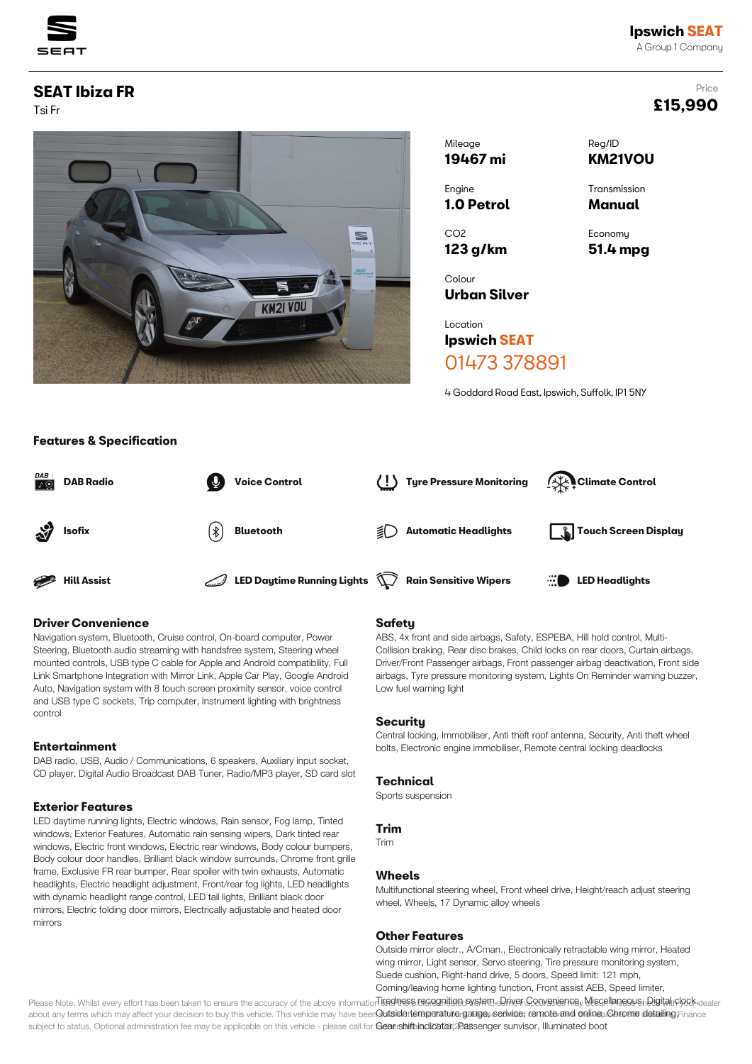

# Price **£15,990**

# **SEAT Ibiza FR**

Tsi Fr



| Mileage         | Reg/ID         |
|-----------------|----------------|
| 19467 mi        | <b>KM21VOU</b> |
| Engine          | Transmission   |
| 1.0 Petrol      | Manual         |
| CO <sub>2</sub> | Economy        |
| $123$ g/km      | 51.4 mpg       |
| Colour          |                |

Location **Ipswich SEAT**

**Urban Silver**

# 01473 378891

4 Goddard Road East, Ipswich, Suffolk, IP1 5NY



#### **Driver Convenience**

**Features & Specification**

Navigation system, Bluetooth, Cruise control, On-board computer, Power Steering, Bluetooth audio streaming with handsfree system, Steering wheel mounted controls, USB type C cable for Apple and Android compatibility, Full Link Smartphone Integration with Mirror Link, Apple Car Play, Google Android Auto, Navigation system with 8 touch screen proximity sensor, voice control and USB type C sockets, Trip computer, Instrument lighting with brightness control

## **Entertainment**

DAB radio, USB, Audio / Communications, 6 speakers, Auxiliary input socket, CD player, Digital Audio Broadcast DAB Tuner, Radio/MP3 player, SD card slot

## **Exterior Features**

LED daytime running lights, Electric windows, Rain sensor, Fog lamp, Tinted windows, Exterior Features, Automatic rain sensing wipers, Dark tinted rear windows, Electric front windows, Electric rear windows, Body colour bumpers, Body colour door handles, Brilliant black window surrounds, Chrome front grille frame, Exclusive FR rear bumper, Rear spoiler with twin exhausts, Automatic headlights, Electric headlight adjustment, Front/rear fog lights, LED headlights with dynamic headlight range control, LED tail lights, Brilliant black door mirrors, Electric folding door mirrors, Electrically adjustable and heated door mirrors

#### **Safety**

ABS, 4x front and side airbags, Safety, ESPEBA, Hill hold control, Multi-Collision braking, Rear disc brakes, Child locks on rear doors, Curtain airbags, Driver/Front Passenger airbags, Front passenger airbag deactivation, Front side airbags, Tyre pressure monitoring system, Lights On Reminder warning buzzer, Low fuel warning light

#### **Security**

Central locking, Immobiliser, Anti theft roof antenna, Security, Anti theft wheel bolts, Electronic engine immobiliser, Remote central locking deadlocks

#### **Technical**

Sports suspension

#### **Trim**

Trim

#### **Wheels**

Multifunctional steering wheel, Front wheel drive, Height/reach adjust steering wheel, Wheels, 17 Dynamic alloy wheels

#### **Other Features**

Outside mirror electr., A/Cman., Electronically retractable wing mirror, Heated wing mirror, Light sensor, Servo steering, Tire pressure monitoring system, Suede cushion, Right-hand drive, 5 doors, Speed limit: 121 mph, Coming/leaving home lighting function, Front assist AEB, Speed limiter,

Please Note: Whilst every effort has been taken to ensure the accuracy of the above information **ited ness regegniten system, Driven Sonvenience, Miscellangous, Digital clock** dealer about any terms which may affect your decision to buy this vehicle. This vehicle may have been**Qutsidentemperatturergauge, serivice; remoterand online, Ghrome detailing,Finance** subject to status. Optional administration fee may be applicable on this vehicle - please call for **Gear shift indicator/20assenger sunvisor, Illuminated boot**